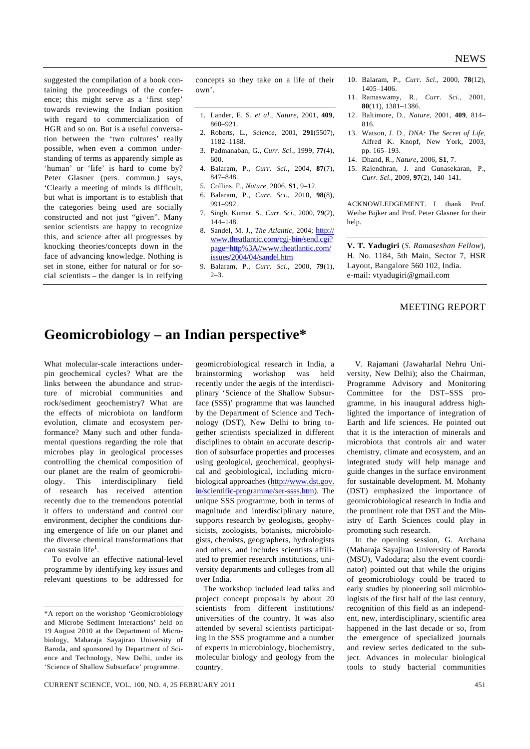suggested the compilation of a book containing the proceedings of the conference; this might serve as a 'first step' towards reviewing the Indian position with regard to commercialization of HGR and so on. But is a useful conversation between the 'two cultures' really possible, when even a common understanding of terms as apparently simple as 'human' or 'life' is hard to come by? Peter Glasner (pers. commun.) says, 'Clearly a meeting of minds is difficult, but what is important is to establish that the categories being used are socially constructed and not just "given". Many senior scientists are happy to recognize this, and science after all progresses by knocking theories/concepts down in the face of advancing knowledge. Nothing is set in stone, either for natural or for social scientists – the danger is in reifying concepts so they take on a life of their own'.

- 1. Lander, E. S. *et al*., *Nature*, 2001, **409**, 860–921.
- 2. Roberts, L., *Science*, 2001, **291**(5507), 1182–1188.
- 3. Padmanaban, G., *Curr. Sci.*, 1999, **77**(4), 600.
- 4. Balaram, P., *Curr. Sci*., 2004, **87**(7), 847–848.
- 5. Collins, F., *Nature*, 2006, **S1**, 9–12.
- 6. Balaram, P., *Curr. Sci.*, 2010, **98**(8), 991–992.
- 7. Singh, Kumar. S., *Curr. Sci*., 2000, **79**(2), 144–148.
- 8. Sandel, M. J., *The Atlantic*, 2004; http:// www.theatlantic.com/cgi-bin/send.cgi? page=http%3A//www.theatlantic.com/ issues/2004/04/sandel.htm
- 9. Balaram, P., *Curr. Sci*., 2000, **79**(1),  $2 - 3$ .
- 10. Balaram, P., *Curr. Sci*., 2000, **78**(12), 1405–1406.
- 11. Ramaswamy, R., *Curr. Sci*., 2001, **80**(11), 1381–1386.
- 12. Baltimore, D., *Nature*, 2001, **409**, 814– 816.
- 13. Watson, J. D., *DNA: The Secret of Life*, Alfred K. Knopf, New York, 2003, pp. 165–193.
- 14. Dhand, R., *Nature*, 2006, **S1**, 7.
- 15. Rajendhran, J. and Gunasekaran, P., *Curr. Sci.*, 2009, **97**(2), 140–141.

ACKNOWLEDGEMENT. I thank Prof. Weibe Bijker and Prof. Peter Glasner for their help.

**V. T. Yadugiri** (*S. Ramaseshan Fellow*), H. No. 1184, 5th Main, Sector 7, HSR Layout, Bangalore 560 102, India. e-mail: vtyadugiri@gmail.com

## MEETING REPORT

## **Geomicrobiology – an Indian perspective\***

What molecular-scale interactions underpin geochemical cycles? What are the links between the abundance and structure of microbial communities and rock/sediment geochemistry? What are the effects of microbiota on landform evolution, climate and ecosystem performance? Many such and other fundamental questions regarding the role that microbes play in geological processes controlling the chemical composition of our planet are the realm of geomicrobiology. This interdisciplinary field of research has received attention recently due to the tremendous potential it offers to understand and control our environment, decipher the conditions during emergence of life on our planet and the diverse chemical transformations that can sustain life<sup>1</sup>.

 To evolve an effective national-level programme by identifying key issues and relevant questions to be addressed for

geomicrobiological research in India, a brainstorming workshop was held recently under the aegis of the interdisciplinary 'Science of the Shallow Subsurface (SSS)' programme that was launched by the Department of Science and Technology (DST), New Delhi to bring together scientists specialized in different disciplines to obtain an accurate description of subsurface properties and processes using geological, geochemical, geophysical and geobiological, including microbiological approaches (http://www.dst.gov. in/scientific-programme/ser-ssss.htm). The unique SSS programme, both in terms of magnitude and interdisciplinary nature, supports research by geologists, geophysicists, zoologists, botanists, microbiologists, chemists, geographers, hydrologists and others, and includes scientists affiliated to premier research institutions, university departments and colleges from all over India.

 The workshop included lead talks and project concept proposals by about 20 scientists from different institutions/ universities of the country. It was also attended by several scientists participating in the SSS programme and a number of experts in microbiology, biochemistry, molecular biology and geology from the country.

 V. Rajamani (Jawaharlal Nehru University, New Delhi); also the Chairman, Programme Advisory and Monitoring Committee for the DST–SSS programme, in his inaugural address highlighted the importance of integration of Earth and life sciences. He pointed out that it is the interaction of minerals and microbiota that controls air and water chemistry, climate and ecosystem, and an integrated study will help manage and guide changes in the surface environment for sustainable development. M. Mohanty (DST) emphasized the importance of geomicrobiological research in India and the prominent role that DST and the Ministry of Earth Sciences could play in promoting such research.

 In the opening session, G. Archana (Maharaja Sayajirao University of Baroda (MSU), Vadodara; also the event coordinator) pointed out that while the origins of geomicrobiology could be traced to early studies by pioneering soil microbiologists of the first half of the last century, recognition of this field as an independent, new, interdisciplinary, scientific area happened in the last decade or so, from the emergence of specialized journals and review series dedicated to the subject. Advances in molecular biological tools to study bacterial communities

<sup>\*</sup>A report on the workshop 'Geomicrobiology and Microbe Sediment Interactions' held on 19 August 2010 at the Department of Microbiology, Maharaja Sayajirao University of Baroda, and sponsored by Department of Science and Technology, New Delhi, under its 'Science of Shallow Subsurface' programme.